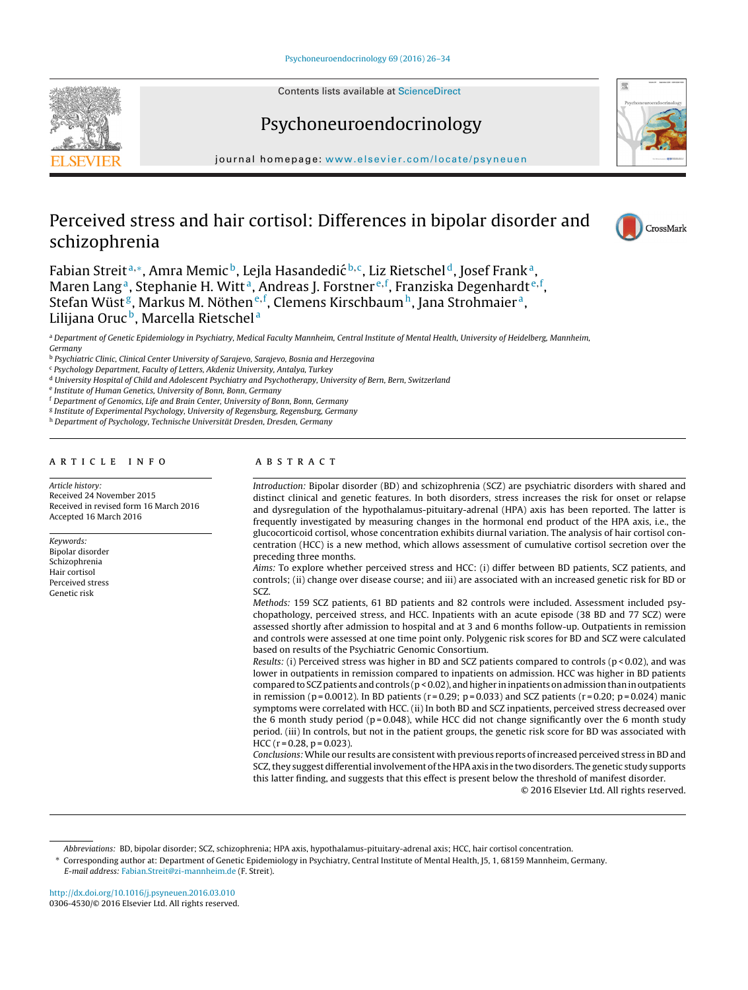

# Psychoneuroendocrinology



journal homepage: [www.elsevier.com/locate/psyneuen](http://www.elsevier.com/locate/psyneuen)

# Perceived stress and hair cortisol: Differences in bipolar disorder and schizophrenia



Fabian Streit<sup>a,∗</sup>, Amra Memic<sup>b</sup>, Lejla Hasandedić<sup>b,c</sup>, Liz Rietschel<sup>d</sup>, Josef Frank<sup>a</sup>, Maren Lang<sup>a</sup>, Stephanie H. Witt<sup>a</sup>, Andreas J. Forstner<sup>e,f</sup>, Franziska Degenhardt<sup>e,f</sup>, Stefan Wüst<sup>g</sup>, Markus M. Nöthen<sup>e,f</sup>, Clemens Kirschbaum<sup>h</sup>, Jana Strohmaier<sup>a</sup>, Lilijana Oruc<sup>b</sup>, Marcella Rietschel<sup>a</sup>

a Department of Genetic Epidemiology in Psychiatry, Medical Faculty Mannheim, Central Institute of Mental Health, University of Heidelberg, Mannheim, Germany

**b Psychiatric Clinic, Clinical Center University of Sarajevo, Sarajevo, Bosnia and Herzegovina** 

<sup>d</sup> University Hospital of Child and Adolescent Psychiatry and Psychotherapy, University of Bern, Bern, Switzerland

<sup>e</sup> Institute of Human Genetics, University of Bonn, Bonn, Germany

<sup>f</sup> Department of Genomics, Life and Brain Center, University of Bonn, Bonn, Germany

<sup>g</sup> Institute of Experimental Psychology, University of Regensburg, Regensburg, Germany

<sup>h</sup> Department of Psychology, Technische Universität Dresden, Dresden, Germany

### a r t i c l e i n f o

Article history: Received 24 November 2015 Received in revised form 16 March 2016 Accepted 16 March 2016

Keywords: Bipolar disorder Schizophrenia Hair cortisol Perceived stress Genetic risk

## A B S T R A C T

Introduction: Bipolar disorder (BD) and schizophrenia (SCZ) are psychiatric disorders with shared and distinct clinical and genetic features. In both disorders, stress increases the risk for onset or relapse and dysregulation of the hypothalamus-pituitary-adrenal (HPA) axis has been reported. The latter is frequently investigated by measuring changes in the hormonal end product of the HPA axis, i.e., the glucocorticoid cortisol, whose concentration exhibits diurnal variation. The analysis of hair cortisol concentration (HCC) is a new method, which allows assessment of cumulative cortisol secretion over the preceding three months.

Aims: To explore whether perceived stress and HCC: (i) differ between BD patients, SCZ patients, and controls; (ii) change over disease course; and iii) are associated with an increased genetic risk for BD or SCZ.

Methods: 159 SCZ patients, 61 BD patients and 82 controls were included. Assessment included psychopathology, perceived stress, and HCC. Inpatients with an acute episode (38 BD and 77 SCZ) were assessed shortly after admission to hospital and at 3 and 6 months follow-up. Outpatients in remission and controls were assessed at one time point only. Polygenic risk scores for BD and SCZ were calculated based on results of the Psychiatric Genomic Consortium.

Results: (i) Perceived stress was higher in BD and SCZ patients compared to controls (p < 0.02), and was lower in outpatients in remission compared to inpatients on admission. HCC was higher in BD patients compared to SCZ patients and controls ( $p < 0.02$ ), and higher in inpatients on admission than in outpatients in remission (p = 0.0012). In BD patients (r = 0.29; p = 0.033) and SCZ patients (r = 0.20; p = 0.024) manic symptoms were correlated with HCC. (ii) In both BD and SCZ inpatients, perceived stress decreased over the 6 month study period ( $p = 0.048$ ), while HCC did not change significantly over the 6 month study period. (iii) In controls, but not in the patient groups, the genetic risk score for BD was associated with HCC ( $r = 0.28$ ,  $p = 0.023$ ).

Conclusions:While our results are consistent with previous reports ofincreased perceived stress in BD and SCZ, they suggest differential involvement of the HPA axis in the two disorders. The genetic study supports this latter finding, and suggests that this effect is present below the threshold of manifest disorder.

© 2016 Elsevier Ltd. All rights reserved.

∗ Corresponding author at: Department of Genetic Epidemiology in Psychiatry, Central Institute of Mental Health, J5, 1, 68159 Mannheim, Germany. E-mail address: [Fabian.Streit@zi-mannheim.de](mailto:Fabian.Streit@zi-mannheim.de) (F. Streit).

[http://dx.doi.org/10.1016/j.psyneuen.2016.03.010](dx.doi.org/10.1016/j.psyneuen.2016.03.010) 0306-4530/© 2016 Elsevier Ltd. All rights reserved.

<sup>c</sup> Psychology Department, Faculty of Letters, Akdeniz University, Antalya, Turkey

Abbreviations: BD, bipolar disorder; SCZ, schizophrenia; HPA axis, hypothalamus-pituitary-adrenal axis; HCC, hair cortisol concentration.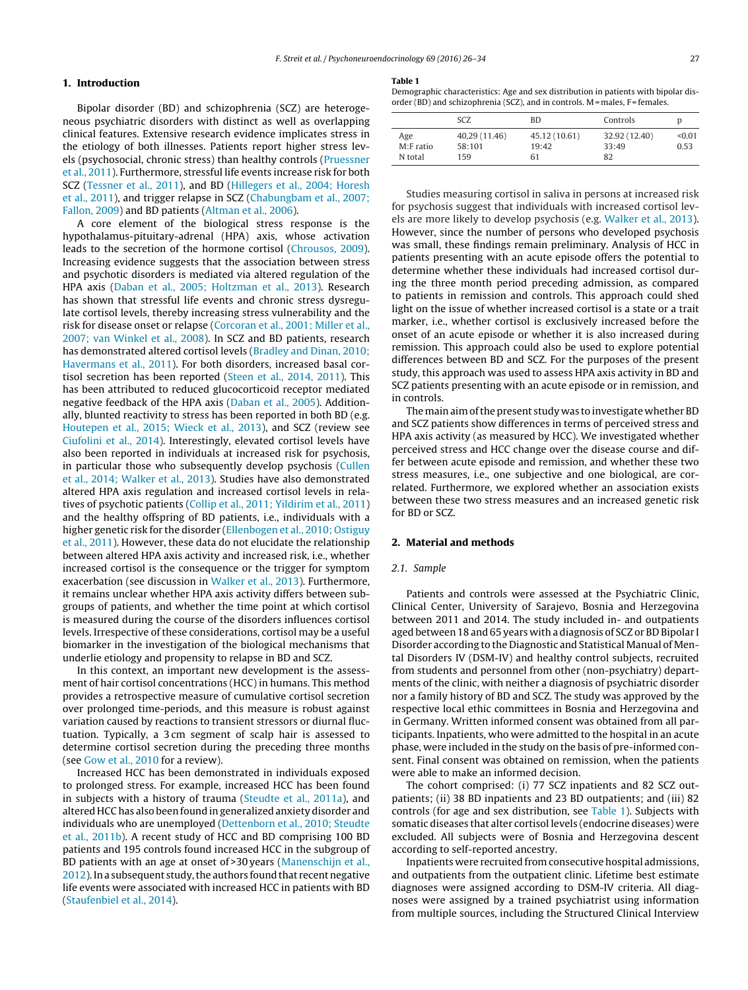#### **1. Introduction**

Bipolar disorder (BD) and schizophrenia (SCZ) are heterogeneous psychiatric disorders with distinct as well as overlapping clinical features. Extensive research evidence implicates stress in the etiology of both illnesses. Patients report higher stress levels (psychosocial, chronic stress) than healthy controls ([Pruessner](#page--1-0) et [al.,](#page--1-0) [2011\).](#page--1-0) Furthermore, stressful life events increase risk for both SCZ ([Tessner](#page--1-0) et [al.,](#page--1-0) [2011\),](#page--1-0) and BD ([Hillegers](#page--1-0) et [al.,](#page--1-0) [2004;](#page--1-0) [Horesh](#page--1-0) et [al.,](#page--1-0) [2011\),](#page--1-0) and trigger relapse in SCZ [\(Chabungbam](#page--1-0) et [al.,](#page--1-0) [2007;](#page--1-0) [Fallon,](#page--1-0) [2009\)](#page--1-0) and BD patients ([Altman](#page--1-0) et [al.,](#page--1-0) [2006\).](#page--1-0)

A core element of the biological stress response is the hypothalamus-pituitary-adrenal (HPA) axis, whose activation leads to the secretion of the hormone cortisol ([Chrousos,](#page--1-0) [2009\).](#page--1-0) Increasing evidence suggests that the association between stress and psychotic disorders is mediated via altered regulation of the HPA axis ([Daban](#page--1-0) et [al.,](#page--1-0) [2005;](#page--1-0) [Holtzman](#page--1-0) et [al.,](#page--1-0) [2013\).](#page--1-0) Research has shown that stressful life events and chronic stress dysregulate cortisol levels, thereby increasing stress vulnerability and the risk for disease onset or relapse ([Corcoran](#page--1-0) et [al.,](#page--1-0) [2001;](#page--1-0) [Miller](#page--1-0) et [al.,](#page--1-0) [2007;](#page--1-0) [van](#page--1-0) [Winkel](#page--1-0) et [al.,](#page--1-0) [2008\).](#page--1-0) In SCZ and BD patients, research has demonstrated altered cortisol levels ([Bradley](#page--1-0) [and](#page--1-0) [Dinan,](#page--1-0) [2010;](#page--1-0) [Havermans](#page--1-0) et [al.,](#page--1-0) [2011\).](#page--1-0) For both disorders, increased basal cortisol secretion has been reported ([Steen](#page--1-0) et [al.,](#page--1-0) [2014,](#page--1-0) [2011\).](#page--1-0) This has been attributed to reduced glucocorticoid receptor mediated negative feedback of the HPA axis [\(Daban](#page--1-0) et [al.,](#page--1-0) [2005\).](#page--1-0) Additionally, blunted reactivity to stress has been reported in both BD (e.g. [Houtepen](#page--1-0) et [al.,](#page--1-0) [2015;](#page--1-0) [Wieck](#page--1-0) et [al.,](#page--1-0) [2013\),](#page--1-0) and SCZ (review see [Ciufolini](#page--1-0) et [al.,](#page--1-0) [2014\).](#page--1-0) Interestingly, elevated cortisol levels have also been reported in individuals at increased risk for psychosis, in particular those who subsequently develop psychosis ([Cullen](#page--1-0) et [al.,](#page--1-0) [2014;](#page--1-0) [Walker](#page--1-0) et [al.,](#page--1-0) [2013\).](#page--1-0) Studies have also demonstrated altered HPA axis regulation and increased cortisol levels in relatives of psychotic patients ([Collip](#page--1-0) et [al.,](#page--1-0) [2011;](#page--1-0) [Yildirim](#page--1-0) et [al.,](#page--1-0) [2011\)](#page--1-0) and the healthy offspring of BD patients, i.e., individuals with a higher genetic risk for the disorder ([Ellenbogen](#page--1-0) et [al.,](#page--1-0) [2010;](#page--1-0) [Ostiguy](#page--1-0) et [al.,](#page--1-0) [2011\).](#page--1-0) However, these data do not elucidate the relationship between altered HPA axis activity and increased risk, i.e., whether increased cortisol is the consequence or the trigger for symptom exacerbation (see discussion in [Walker](#page--1-0) et [al.,](#page--1-0) [2013\).](#page--1-0) Furthermore, it remains unclear whether HPA axis activity differs between subgroups of patients, and whether the time point at which cortisol is measured during the course of the disorders influences cortisol levels. Irrespective of these considerations, cortisol may be a useful biomarker in the investigation of the biological mechanisms that underlie etiology and propensity to relapse in BD and SCZ.

In this context, an important new development is the assessment of hair cortisol concentrations (HCC) in humans. This method provides a retrospective measure of cumulative cortisol secretion over prolonged time-periods, and this measure is robust against variation caused by reactions to transient stressors or diurnal fluctuation. Typically, a 3 cm segment of scalp hair is assessed to determine cortisol secretion during the preceding three months (see [Gow](#page--1-0) et [al.,](#page--1-0) [2010](#page--1-0) for a review).

Increased HCC has been demonstrated in individuals exposed to prolonged stress. For example, increased HCC has been found in subjects with a history of trauma [\(Steudte](#page--1-0) et [al.,](#page--1-0) [2011a\),](#page--1-0) and altered HCC has also been found in generalized anxiety disorder and individuals who are unemployed [\(Dettenborn](#page--1-0) et [al.,](#page--1-0) [2010;](#page--1-0) [Steudte](#page--1-0) et [al.,](#page--1-0) [2011b\).](#page--1-0) A recent study of HCC and BD comprising 100 BD patients and 195 controls found increased HCC in the subgroup of BD patients with an age at onset of >30 years ([Manenschijn](#page--1-0) et [al.,](#page--1-0)  $2012$ ). In a subsequent study, the authors found that recent negative life events were associated with increased HCC in patients with BD ([Staufenbiel](#page--1-0) et [al.,](#page--1-0) [2014\).](#page--1-0)

#### **Table 1**

Demographic characteristics: Age and sex distribution in patients with bipolar disorder (BD) and schizophrenia (SCZ), and in controls. M = males, F = females.

|                             | SCZ.                           | BD.                          | Controls                     | D              |
|-----------------------------|--------------------------------|------------------------------|------------------------------|----------------|
| Age<br>M:F ratio<br>N total | 40,29 (11.46)<br>58:101<br>159 | 45.12 (10.61)<br>19:42<br>61 | 32.92 (12.40)<br>33:49<br>82 | < 0.01<br>0.53 |

Studies measuring cortisol in saliva in persons at increased risk for psychosis suggest that individuals with increased cortisol levels are more likely to develop psychosis (e.g. [Walker](#page--1-0) et [al.,](#page--1-0) [2013\).](#page--1-0) However, since the number of persons who developed psychosis was small, these findings remain preliminary. Analysis of HCC in patients presenting with an acute episode offers the potential to determine whether these individuals had increased cortisol during the three month period preceding admission, as compared to patients in remission and controls. This approach could shed light on the issue of whether increased cortisol is a state or a trait marker, i.e., whether cortisol is exclusively increased before the onset of an acute episode or whether it is also increased during remission. This approach could also be used to explore potential differences between BD and SCZ. For the purposes of the present study, this approach was used to assess HPA axis activity in BD and SCZ patients presenting with an acute episode or in remission, and in controls.

The main aim of the present study was to investigate whether BD and SCZ patients show differences in terms of perceived stress and HPA axis activity (as measured by HCC). We investigated whether perceived stress and HCC change over the disease course and differ between acute episode and remission, and whether these two stress measures, i.e., one subjective and one biological, are correlated. Furthermore, we explored whether an association exists between these two stress measures and an increased genetic risk for BD or SCZ.

#### **2. Material and methods**

#### 2.1. Sample

Patients and controls were assessed at the Psychiatric Clinic, Clinical Center, University of Sarajevo, Bosnia and Herzegovina between 2011 and 2014. The study included in- and outpatients aged between 18 and 65 years with a diagnosis of SCZ or BD Bipolar I Disorder according to the Diagnostic and Statistical Manual of Mental Disorders IV (DSM-IV) and healthy control subjects, recruited from students and personnel from other (non-psychiatry) departments of the clinic, with neither a diagnosis of psychiatric disorder nor a family history of BD and SCZ. The study was approved by the respective local ethic committees in Bosnia and Herzegovina and in Germany. Written informed consent was obtained from all participants. Inpatients, who were admitted to the hospital in an acute phase, were included in the study on the basis of pre-informed consent. Final consent was obtained on remission, when the patients were able to make an informed decision.

The cohort comprised: (i) 77 SCZ inpatients and 82 SCZ outpatients; (ii) 38 BD inpatients and 23 BD outpatients; and (iii) 82 controls (for age and sex distribution, see Table 1). Subjects with somatic diseases that alter cortisol levels (endocrine diseases) were excluded. All subjects were of Bosnia and Herzegovina descent according to self-reported ancestry.

Inpatients were recruited from consecutive hospital admissions, and outpatients from the outpatient clinic. Lifetime best estimate diagnoses were assigned according to DSM-IV criteria. All diagnoses were assigned by a trained psychiatrist using information from multiple sources, including the Structured Clinical Interview